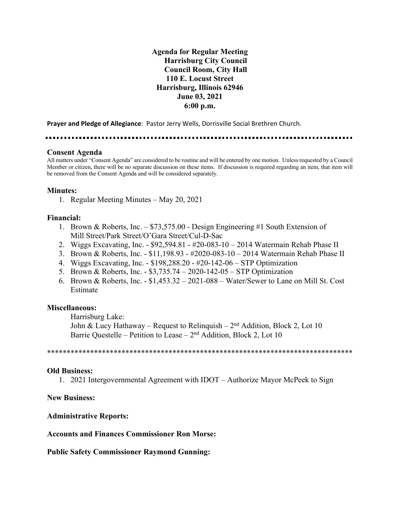**Agenda for Regular Meeting Harrisburg City Council Council Room, City Hall 110 E. Locust Street Harrisburg, Illinois 62946 June 03, 2021 6:00 p.m.**

**Prayer and Pledge of Allegiance**: Pastor Jerry Wells, Dorrisville Social Brethren Church.

## **Consent Agenda**

All matters under "Consent Agenda" are considered to be routine and will be entered by one motion. Unless requested by a Council Member or citizen, there will be no separate discussion on these items. If discussion is required regarding an item, that item will be removed from the Consent Agenda and will be considered separately.

#### **Minutes:**

1. Regular Meeting Minutes – May 20, 2021

#### **Financial:**

- 1. Brown & Roberts, Inc. \$73,575.00 Design Engineering #1 South Extension of Mill Street/Park Street/O'Gara Street/Cul-D-Sac
- 2. Wiggs Excavating, Inc. \$92,594.81 #20-083-10 2014 Watermain Rehab Phase II
- 3. Brown & Roberts, Inc. \$11,198.93 #2020-083-10 2014 Watermain Rehab Phase II
- 4. Wiggs Excavating, Inc. \$198,288.20 #20-142-06 STP Optimization
- 5. Brown & Roberts, Inc. \$3,735.74 2020-142-05 STP Optimization
- 6. Brown & Roberts, Inc. \$1,453.32 2021-088 Water/Sewer to Lane on Mill St. Cost Estimate

#### **Miscellaneous:**

Harrisburg Lake:

John & Lucy Hathaway – Request to Relinquish –  $2<sup>nd</sup>$  Addition, Block 2, Lot 10 Barrie Questelle – Petition to Lease –  $2<sup>nd</sup>$  Addition, Block 2, Lot 10

\*\*\*\*\*\*\*\*\*\*\*\*\*\*\*\*\*\*\*\*\*\*\*\*\*\*\*\*\*\*\*\*\*\*\*\*\*\*\*\*\*\*\*\*\*\*\*\*\*\*\*\*\*\*\*\*\*\*\*\*\*\*\*\*\*\*\*\*\*\*\*\*\*\*\*\*\*\*

#### **Old Business:**

1. 2021 Intergovernmental Agreement with IDOT – Authorize Mayor McPeek to Sign

## **New Business:**

## **Administrative Reports:**

#### **Accounts and Finances Commissioner Ron Morse:**

#### **Public Safety Commissioner Raymond Gunning:**